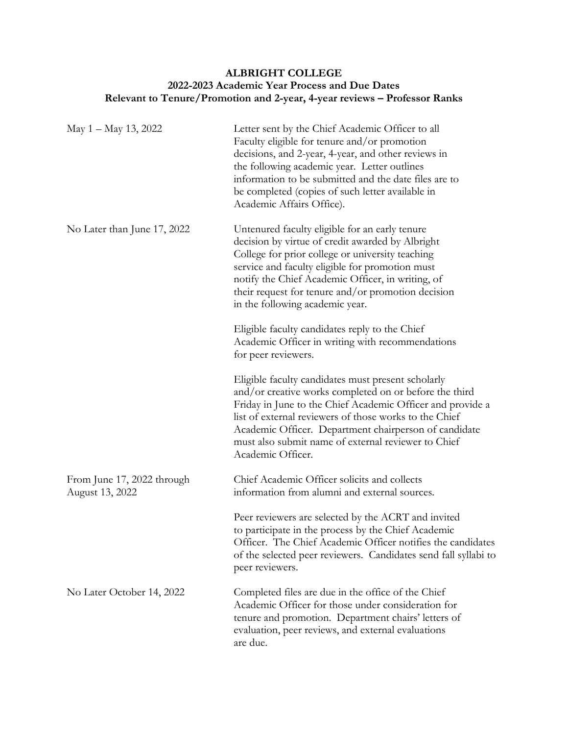## **ALBRIGHT COLLEGE 2022-2023 Academic Year Process and Due Dates Relevant to Tenure/Promotion and 2-year, 4-year reviews – Professor Ranks**

| May $1 -$ May 13, 2022                        | Letter sent by the Chief Academic Officer to all<br>Faculty eligible for tenure and/or promotion<br>decisions, and 2-year, 4-year, and other reviews in<br>the following academic year. Letter outlines<br>information to be submitted and the date files are to<br>be completed (copies of such letter available in<br>Academic Affairs Office).                         |
|-----------------------------------------------|---------------------------------------------------------------------------------------------------------------------------------------------------------------------------------------------------------------------------------------------------------------------------------------------------------------------------------------------------------------------------|
| No Later than June 17, 2022                   | Untenured faculty eligible for an early tenure<br>decision by virtue of credit awarded by Albright<br>College for prior college or university teaching<br>service and faculty eligible for promotion must<br>notify the Chief Academic Officer, in writing, of<br>their request for tenure and/or promotion decision<br>in the following academic year.                   |
|                                               | Eligible faculty candidates reply to the Chief<br>Academic Officer in writing with recommendations<br>for peer reviewers.                                                                                                                                                                                                                                                 |
|                                               | Eligible faculty candidates must present scholarly<br>and/or creative works completed on or before the third<br>Friday in June to the Chief Academic Officer and provide a<br>list of external reviewers of those works to the Chief<br>Academic Officer. Department chairperson of candidate<br>must also submit name of external reviewer to Chief<br>Academic Officer. |
| From June 17, 2022 through<br>August 13, 2022 | Chief Academic Officer solicits and collects<br>information from alumni and external sources.                                                                                                                                                                                                                                                                             |
|                                               | Peer reviewers are selected by the ACRT and invited<br>to participate in the process by the Chief Academic<br>Officer. The Chief Academic Officer notifies the candidates<br>of the selected peer reviewers. Candidates send fall syllabi to<br>peer reviewers.                                                                                                           |
| No Later October 14, 2022                     | Completed files are due in the office of the Chief<br>Academic Officer for those under consideration for<br>tenure and promotion. Department chairs' letters of<br>evaluation, peer reviews, and external evaluations<br>are due.                                                                                                                                         |